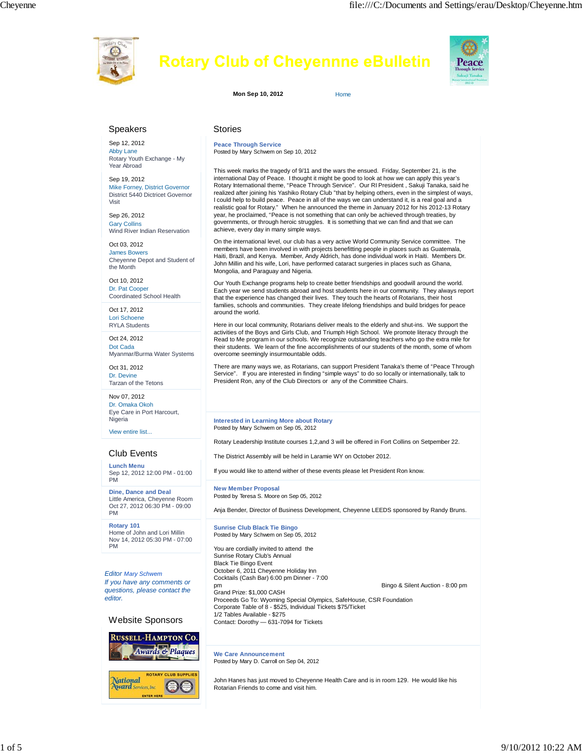

# **Rotary Club of Cheyennne eBulletin**



**Mon Sep 10, 2012** Home

## Speakers

Sep 12, 2012 Abby Lane Rotary Youth Exchange - My Year Abroad

Sep 19, 2012 Mike Forney, District Governor District 5440 Dictricet Governor Visit

Sep 26, 2012 Gary Collins Wind River Indian Reservation

Oct 03, 2012 James Bowers Cheyenne Depot and Student of the Month

Oct 10, 2012 Dr. Pat Cooper Coordinated School Health

Oct 17, 2012 Lori Schoene RYLA Students

Oct 24, 2012 Dot Cada Myanmar/Burma Water Systems

Oct 31, 2012 Dr. Devine Tarzan of the Tetons

Nov 07, 2012 Dr. Omaka Okoh Eye Care in Port Harcourt, Nigeria

View entire list...

## Club Events

**Lunch Menu** Sep 12, 2012 12:00 PM - 01:00 PM

**Dine, Dance and Deal** Little America, Cheyenne Room Oct 27, 2012 06:30 PM - 09:00 PM

**Rotary 101** Home of John and Lori Millin Nov 14, 2012 05:30 PM - 07:00 PM

*Editor Mary Schwem If you have any comments or questions, please contact the editor.*

#### Website Sponsors



#### Stories

**Peace Through Service** Posted by Mary Schwem on Sep 10, 2012

This week marks the tragedy of 9/11 and the wars the ensued. Friday, September 21, is the international Day of Peace. I thought it might be good to look at how we can apply this year's Rotary International theme, "Peace Through Service". Our RI President , Sakuji Tanaka, said he realized after joining his Yashiko Rotary Club "that by helping others, even in the simplest of ways, I could help to build peace. Peace in all of the ways we can understand it, is a real goal and a realistic goal for Rotary." When he announced the theme in January 2012 for his 2012-13 Rotary year, he proclaimed, "Peace is not something that can only be achieved through treaties, by governments, or through heroic struggles. It is something that we can find and that we can achieve, every day in many simple ways.

On the international level, our club has a very active World Community Service committee. The members have been involved in with projects benefitting people in places such as Guatemala, Haiti, Brazil, and Kenya. Member, Andy Aldrich, has done individual work in Haiti. Members Dr. John Millin and his wife, Lori, have performed cataract surgeries in places such as Ghana, Mongolia, and Paraguay and Nigeria.

Our Youth Exchange programs help to create better friendships and goodwill around the world. Each year we send students abroad and host students here in our community. They always report that the experience has changed their lives. They touch the hearts of Rotarians, their host families, schools and communities. They create lifelong friendships and build bridges for peace around the world.

Here in our local community, Rotarians deliver meals to the elderly and shut-ins. We support the activities of the Boys and Girls Club, and Triumph High School. We promote literacy through the Read to Me program in our schools. We recognize outstanding teachers who go the extra mile for their students. We learn of the fine accomplishments of our students of the month, some of whom overcome seemingly insurmountable odds.

There are many ways we, as Rotarians, can support President Tanaka's theme of "Peace Through Service". If you are interested in finding "simple ways" to do so locally or internationally, talk to President Ron, any of the Club Directors or any of the Committee Chairs.

**Interested in Learning More about Rotary** Posted by Mary Schwem on Sep 05, 2012

Rotary Leadership Institute courses 1,2,and 3 will be offered in Fort Collins on Setpember 22.

The District Assembly will be held in Laramie WY on October 2012.

If you would like to attend wither of these events please let President Ron know.

**New Member Proposal** Posted by Teresa S. Moore on Sep 05, 2012

Anja Bender, Director of Business Development, Cheyenne LEEDS sponsored by Randy Bruns.

**Sunrise Club Black Tie Bingo** Posted by Mary Schwem on Sep 05, 2012

You are cordially invited to attend the Sunrise Rotary Club's Annual Black Tie Bingo Event October 6, 2011 Cheyenne Holiday Inn Cocktails (Cash Bar) 6:00 pm Dinner - 7:00 pm Bingo & Silent Auction - 8:00 pm

Grand Prize: \$1,000 CASH Proceeds Go To: Wyoming Special Olympics, SafeHouse, CSR Foundation Corporate Table of 8 - \$525, Individual Tickets \$75/Ticket 1/2 Tables Available - \$275 Contact: Dorothy — 631-7094 for Tickets

**We Care Announcement** Posted by Mary D. Carroll on Sep 04, 2012

John Hanes has just moved to Cheyenne Health Care and is in room 129. He would like his Rotarian Friends to come and visit him.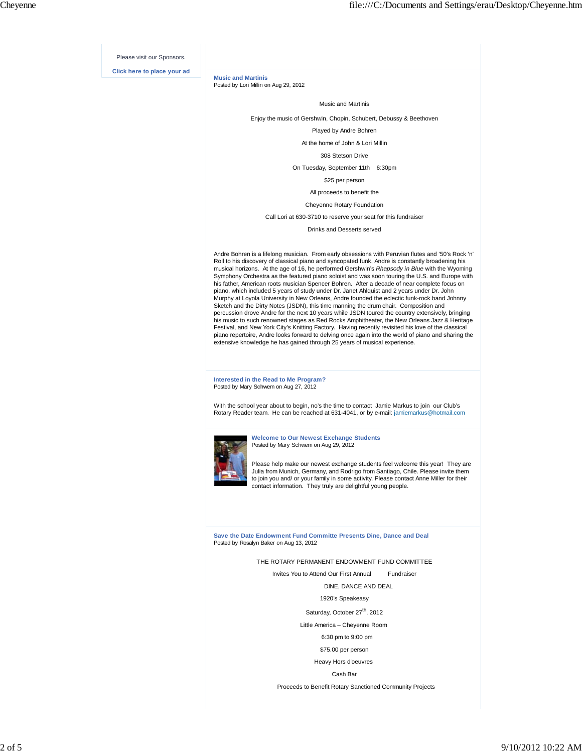Please visit our Sponsors.

**Click here to place your ad**

**Music and Martinis** Posted by Lori Millin on Aug 29, 2012

Music and Martinis

Enjoy the music of Gershwin, Chopin, Schubert, Debussy & Beethoven

Played by Andre Bohren

At the home of John & Lori Millin

308 Stetson Drive

On Tuesday, September 11th 6:30pm

\$25 per person

All proceeds to benefit the

Cheyenne Rotary Foundation

Call Lori at 630-3710 to reserve your seat for this fundraiser

Drinks and Desserts served

Andre Bohren is a lifelong musician. From early obsessions with Peruvian flutes and '50's Rock 'n' Roll to his discovery of classical piano and syncopated funk, Andre is constantly broadening his musical horizons. At the age of 16, he performed Gershwin's *Rhapsody in Blue* with the Wyoming Symphony Orchestra as the featured piano soloist and was soon touring the U.S. and Europe with his father, American roots musician Spencer Bohren. After a decade of near complete focus on piano, which included 5 years of study under Dr. Janet Ahlquist and 2 years under Dr. John Murphy at Loyola University in New Orleans, Andre founded the eclectic funk-rock band Johnny Sketch and the Dirty Notes (JSDN), this time manning the drum chair. Composition and percussion drove Andre for the next 10 years while JSDN toured the country extensively, bringing his music to such renowned stages as Red Rocks Amphitheater, the New Orleans Jazz & Heritage Festival, and New York City's Knitting Factory. Having recently revisited his love of the classical piano repertoire, Andre looks forward to delving once again into the world of piano and sharing the extensive knowledge he has gained through 25 years of musical experience.

**Interested in the Read to Me Program?** Posted by Mary Schwem on Aug 27, 2012

With the school year about to begin, no's the time to contact Jamie Markus to join our Club's Rotary Reader team. He can be reached at 631-4041, or by e-mail: jamiemarkus@hotmail.com



**Welcome to Our Newest Exchange Students** Posted by Mary Schwem on Aug 29, 2012

Please help make our newest exchange students feel welcome this year! They are Julia from Munich, Germany, and Rodrigo from Santiago, Chile. Please invite them to join you and/ or your family in some activity. Please contact Anne Miller for their contact information. They truly are delightful young people.

**Save the Date Endowment Fund Committe Presents Dine, Dance and Deal** Posted by Rosalyn Baker on Aug 13, 2012

THE ROTARY PERMANENT ENDOWMENT FUND COMMITTEE

Invites You to Attend Our First Annual Fundraiser

DINE, DANCE AND DEAL

1920's Speakeasy

Saturday, October 27<sup>th</sup>, 2012

Little America – Cheyenne Room

6:30 pm to 9:00 pm

\$75.00 per person

Heavy Hors d'oeuvres

Cash Bar

Proceeds to Benefit Rotary Sanctioned Community Projects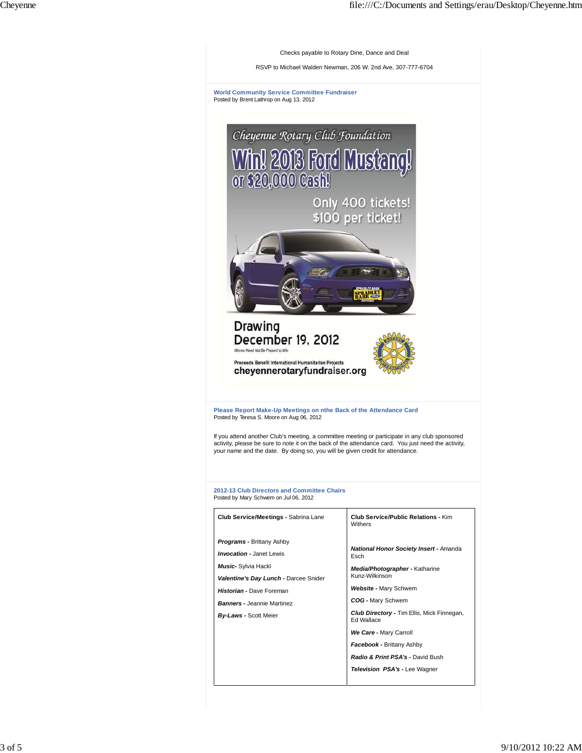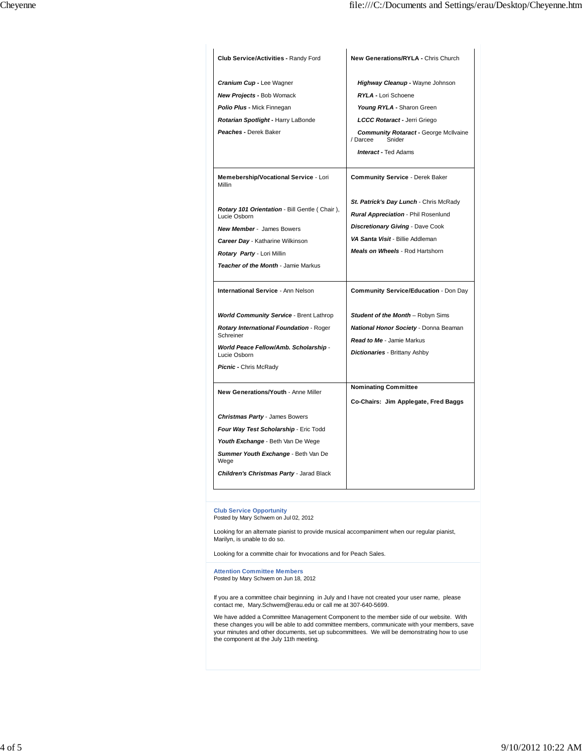| Club Service/Activities - Randy Ford                          | New Generations/RYLA - Chris Church                                |
|---------------------------------------------------------------|--------------------------------------------------------------------|
| Cranium Cup - Lee Wagner                                      | Highway Cleanup - Wayne Johnson                                    |
| <b>New Projects - Bob Womack</b>                              | <b>RYLA - Lori Schoene</b>                                         |
| Polio Plus - Mick Finnegan                                    | Young RYLA - Sharon Green                                          |
| Rotarian Spotlight - Harry LaBonde                            | LCCC Rotaract - Jerri Griego                                       |
| Peaches - Derek Baker                                         | <b>Community Rotaract - George McIlvaine</b><br>/ Darcee<br>Snider |
|                                                               | <b>Interact - Ted Adams</b>                                        |
| Memebership/Vocational Service - Lori<br>Millin               | <b>Community Service - Derek Baker</b>                             |
|                                                               | St. Patrick's Day Lunch - Chris McRady                             |
| Rotary 101 Orientation - Bill Gentle (Chair),<br>Lucie Osborn | Rural Appreciation - Phil Rosenlund                                |
| <b>New Member - James Bowers</b>                              | <b>Discretionary Giving - Dave Cook</b>                            |
| Career Day - Katharine Wilkinson                              | VA Santa Visit - Billie Addleman                                   |
| Rotary Party - Lori Millin                                    | <b>Meals on Wheels - Rod Hartshorn</b>                             |
| Teacher of the Month - Jamie Markus                           |                                                                    |
| <b>International Service - Ann Nelson</b>                     | Community Service/Education - Don Day                              |
| <b>World Community Service - Brent Lathrop</b>                | Student of the Month - Robyn Sims                                  |
| <b>Rotary International Foundation - Roger</b>                | National Honor Society - Donna Beaman                              |
| Schreiner                                                     | <b>Read to Me - Jamie Markus</b>                                   |
| World Peace Fellow/Amb. Scholarship -<br>Lucie Osborn         | Dictionaries - Brittany Ashby                                      |
| Picnic - Chris McRady                                         |                                                                    |
| New Generations/Youth - Anne Miller                           | <b>Nominating Committee</b>                                        |
|                                                               | Co-Chairs: Jim Applegate, Fred Baggs                               |
| Christmas Party - James Bowers                                |                                                                    |
| Four Way Test Scholarship - Eric Todd                         |                                                                    |
| Youth Exchange - Beth Van De Wege                             |                                                                    |
| Summer Youth Exchange - Beth Van De<br>Wege                   |                                                                    |
| Children's Christmas Party - Jarad Black                      |                                                                    |

**Club Service Opportunity** Posted by Mary Schwem on Jul 02, 2012

Looking for an alternate pianist to provide musical accompaniment when our regular pianist, Marilyn, is unable to do so.

Looking for a committe chair for Invocations and for Peach Sales.

**Attention Committee Members** Posted by Mary Schwem on Jun 18, 2012

If you are a committee chair beginning in July and I have not created your user name, please contact me, Mary.Schwem@erau.edu or call me at 307-640-5699.

We have added a Committee Management Component to the member side of our website. With these changes you will be able to add committee members, communicate with your members, save your minutes and other documents, set up subcommittees. We will be demonstrating how to use the component at the July 11th meeting.